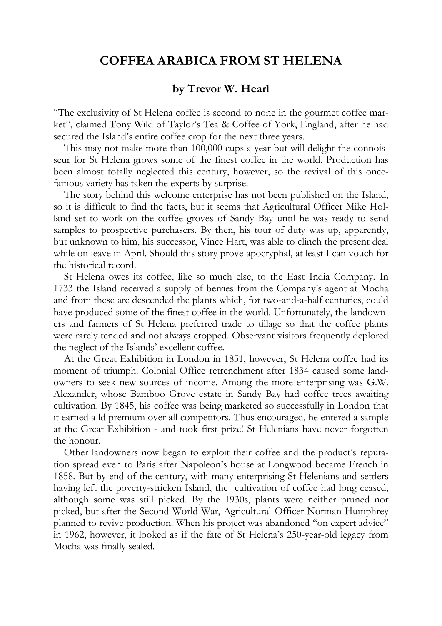## **COFFEA ARABICA FROM ST HELENA**

## **by Trevor W. Hearl**

"The exclusivity of St Helena coffee is second to none in the gourmet coffee market", claimed Tony Wild of Taylor's Tea & Coffee of York, England, after he had secured the Island's entire coffee crop for the next three years.

This may not make more than 100,000 cups a year but will delight the connoisseur for St Helena grows some of the finest coffee in the world. Production has been almost totally neglected this century, however, so the revival of this oncefamous variety has taken the experts by surprise.

The story behind this welcome enterprise has not been published on the Island, so it is difficult to find the facts, but it seems that Agricultural Officer Mike Holland set to work on the coffee groves of Sandy Bay until he was ready to send samples to prospective purchasers. By then, his tour of duty was up, apparently, but unknown to him, his successor, Vince Hart, was able to clinch the present deal while on leave in April. Should this story prove apocryphal, at least I can vouch for the historical record.

St Helena owes its coffee, like so much else, to the East India Company. In 1733 the Island received a supply of berries from the Company's agent at Mocha and from these are descended the plants which, for two-and-a-half centuries, could have produced some of the finest coffee in the world. Unfortunately, the landowners and farmers of St Helena preferred trade to tillage so that the coffee plants were rarely tended and not always cropped. Observant visitors frequently deplored the neglect of the Islands' excellent coffee.

At the Great Exhibition in London in 1851, however, St Helena coffee had its moment of triumph. Colonial Office retrenchment after 1834 caused some landowners to seek new sources of income. Among the more enterprising was G.W. Alexander, whose Bamboo Grove estate in Sandy Bay had coffee trees awaiting cultivation. By 1845, his coffee was being marketed so successfully in London that it earned a ld premium over all competitors. Thus encouraged, he entered a sample at the Great Exhibition - and took first prize! St Helenians have never forgotten the honour.

Other landowners now began to exploit their coffee and the product's reputation spread even to Paris after Napoleon's house at Longwood became French in 1858. But by end of the century, with many enterprising St Helenians and settlers having left the poverty-stricken Island, the cultivation of coffee had long ceased, although some was still picked. By the 1930s, plants were neither pruned nor picked, but after the Second World War, Agricultural Officer Norman Humphrey planned to revive production. When his project was abandoned "on expert advice" in 1962, however, it looked as if the fate of St Helena's 250-year-old legacy from Mocha was finally sealed.